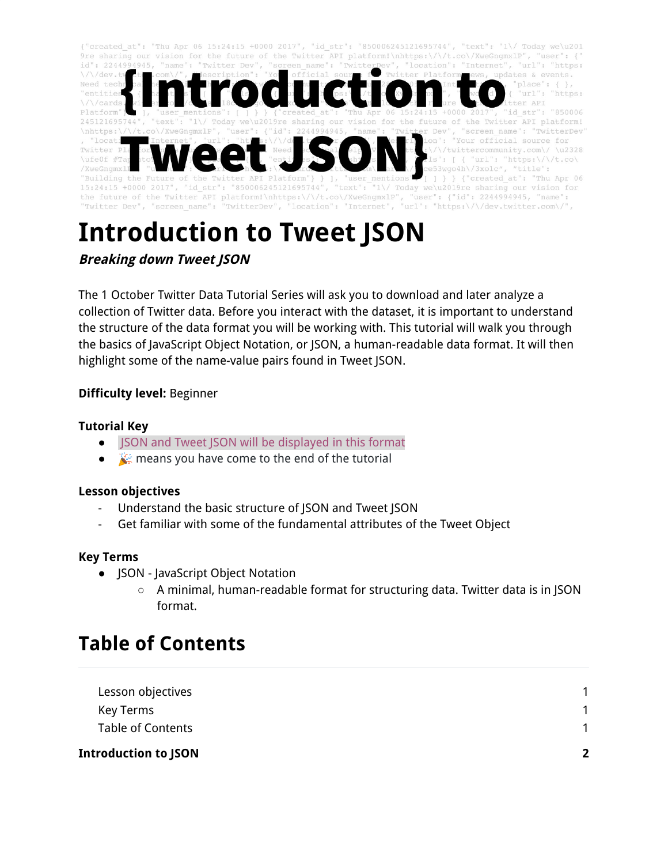

# **Introduction to Tweet JSON**

**Breaking down Tweet JSON**

The 1 October Twitter Data Tutorial Series will ask you to download and later analyze a collection of Twitter data. Before you interact with the dataset, it is important to understand the structure of the data format you will be working with. This tutorial will walk you through the basics of JavaScript Object Notation, or JSON, a human-readable data format. It will then highlight some of the name-value pairs found in Tweet JSON.

#### **Difficulty level:** Beginner

#### **Tutorial Key**

- JSON and Tweet JSON will be displayed in this format
- $\mathcal{C}$  means you have come to the end of the tutorial

#### <span id="page-0-0"></span>**Lesson objectives**

- Understand the basic structure of JSON and Tweet JSON
- Get familiar with some of the fundamental attributes of the Tweet Object

#### <span id="page-0-1"></span>**Key Terms**

- JSON JavaScript Object Notation
	- $\circ$  A minimal, human-readable format for structuring data. Twitter data is in JSON format.

### <span id="page-0-2"></span>**Table of Contents**

| Introduction to JSON     | $\mathbf{z}$ |
|--------------------------|--------------|
| <b>Table of Contents</b> |              |
| Key Terms                |              |
| Lesson objectives        |              |
|                          |              |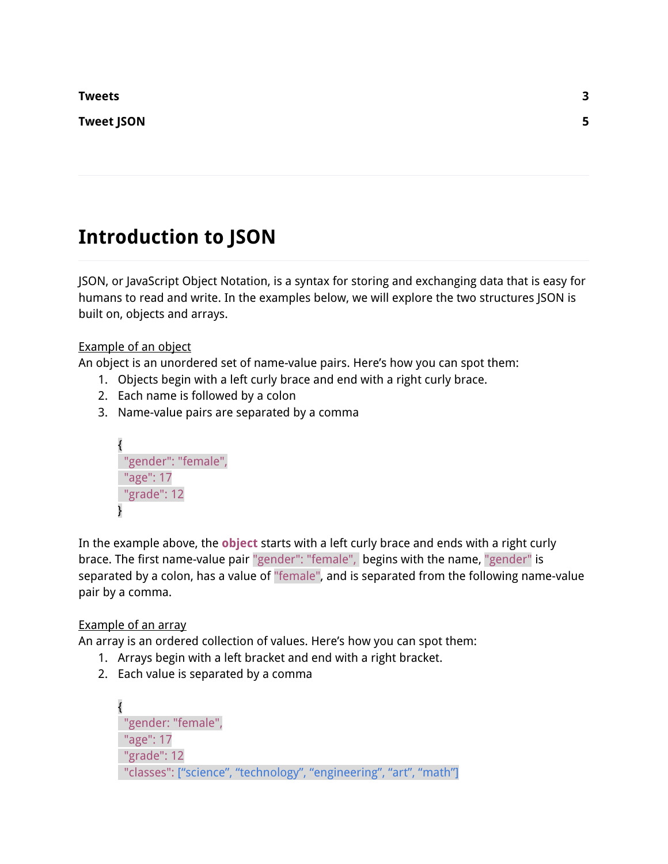**[Tweets](#page-2-0) [3](#page-2-0)**

<span id="page-1-0"></span>**[Tweet](#page-3-0) JSON [5](#page-3-0)**

# **Introduction to JSON**

JSON, or JavaScript Object Notation, is a syntax for storing and exchanging data that is easy for humans to read and write. In the examples below, we will explore the two structures JSON is built on, objects and arrays.

Example of an object

An object is an unordered set of name-value pairs. Here's how you can spot them:

- 1. Objects begin with a left curly brace and end with a right curly brace.
- 2. Each name is followed by a colon
- 3. Name-value pairs are separated by a comma

{ "gender": "female", "age": 17 "grade": 12 }

In the example above, the **object** starts with a left curly brace and ends with a right curly brace. The first name-value pair "gender": "female", begins with the name, "gender" is separated by a colon, has a value of "female", and is separated from the following name-value pair by a comma.

#### Example of an array

An array is an ordered collection of values. Here's how you can spot them:

- 1. Arrays begin with a left bracket and end with a right bracket.
- 2. Each value is separated by a comma

{ "gender: "female", "age": 17 "grade": 12 "classes": ["science", "technology", "engineering", "art", "math"]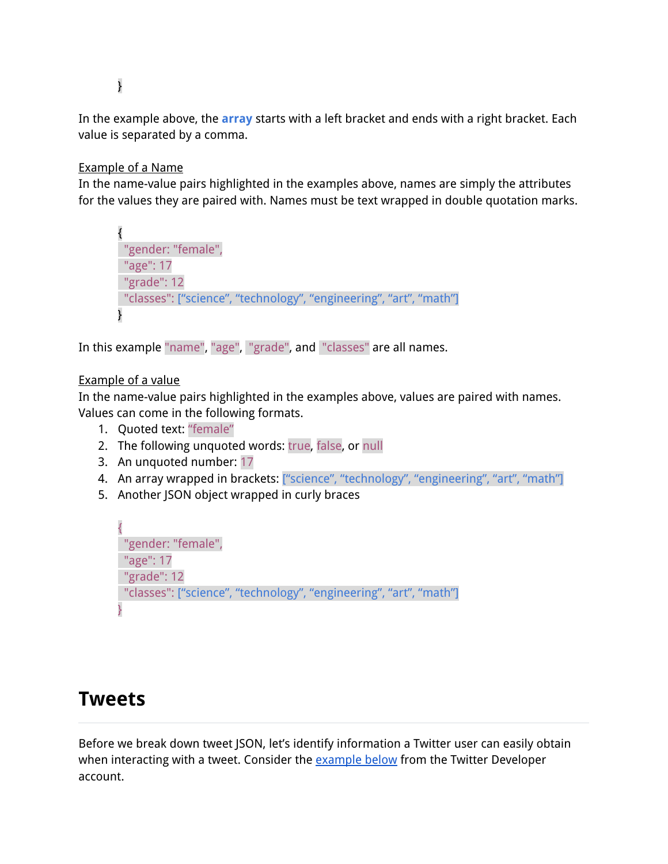}

In the example above, the **array** starts with a left bracket and ends with a right bracket. Each value is separated by a comma.

#### Example of a Name

In the name-value pairs highlighted in the examples above, names are simply the attributes for the values they are paired with. Names must be text wrapped in double quotation marks.

```
{
"gender: "female",
 "age": 17
"grade": 12
"classes": ["science", "technology", "engineering", "art", "math"]
}
```
In this example "name", "age", "grade", and "classes" are all names.

#### Example of a value

In the name-value pairs highlighted in the examples above, values are paired with names. Values can come in the following formats.

- 1. Quoted text: "female"
- 2. The following unquoted words: true, false, or null
- 3. An unquoted number: 17
- 4. An array wrapped in brackets: ["science", "technology", "engineering", "art", "math"]
- 5. Another JSON object wrapped in curly braces

```
{
"gender: "female",
"age": 17
"grade": 12
"classes": ["science", "technology", "engineering", "art", "math"]
}
```
### <span id="page-2-0"></span>**Tweets**

Before we break down tweet JSON, let's identify information a Twitter user can easily obtain when interacting with a tweet. Consider the **[example](https://twitter.com/TwitterDev/status/850006245121695744) below** from the Twitter Developer account.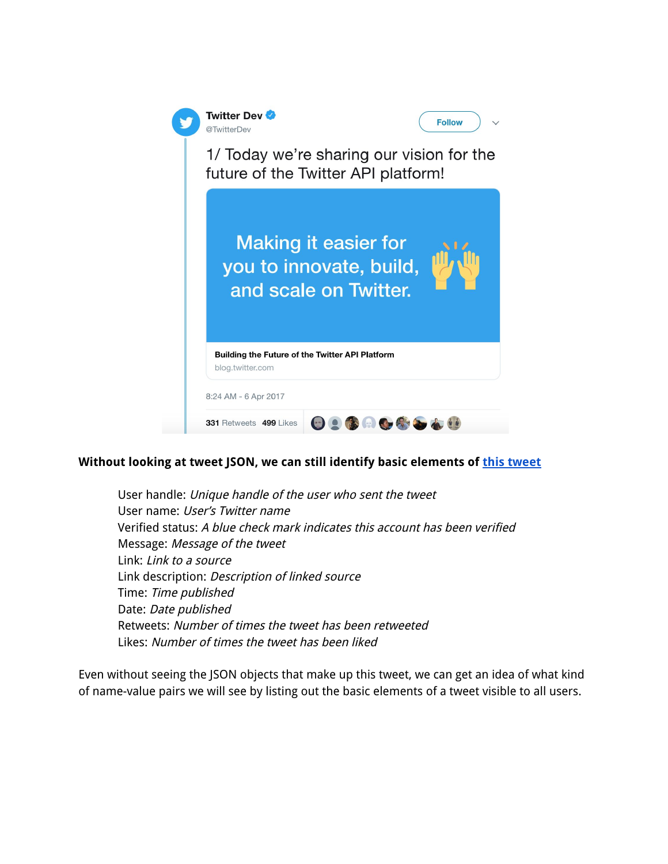

#### **Without looking at tweet JSON, we can still identify basic elements of this [tweet](https://twitter.com/TwitterDev/status/850006245121695744)**

User handle: Unique handle of the user who sent the tweet User name: User's Twitter name Verified status: A blue check mark indicates this account has been verified Message: Message of the tweet Link: Link to <sup>a</sup> source Link description: Description of linked source Time: Time published Date: Date published Retweets: Number of times the tweet has been retweeted Likes: Number of times the tweet has been liked

<span id="page-3-0"></span>Even without seeing the JSON objects that make up this tweet, we can get an idea of what kind of name-value pairs we will see by listing out the basic elements of a tweet visible to all users.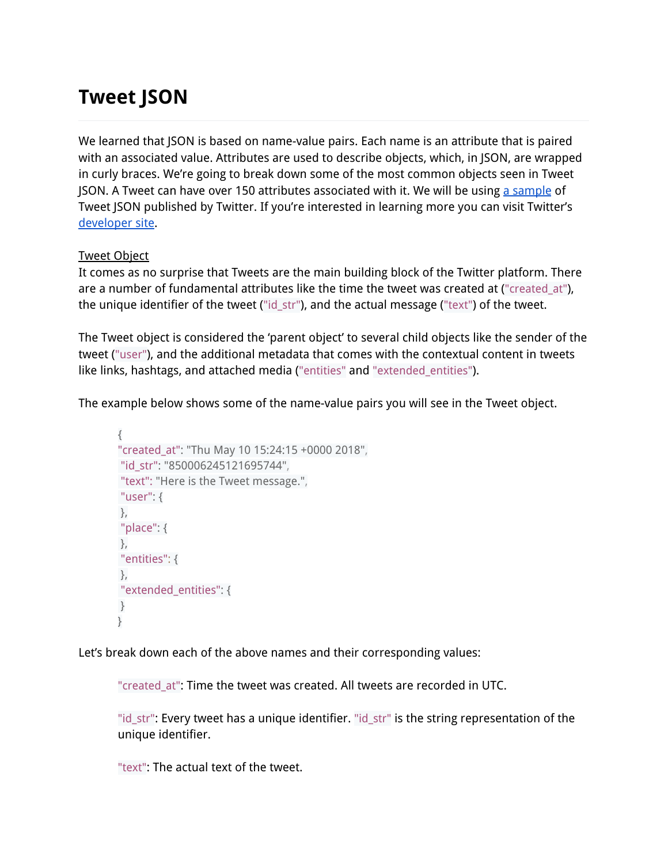## **Tweet JSON**

We learned that JSON is based on name-value pairs. Each name is an attribute that is paired with an associated value. Attributes are used to describe objects, which, in JSON, are wrapped in curly braces. We're going to break down some of the most common objects seen in Tweet JSON. A Tweet can have over 150 attributes associated with it. We will be using a [sample](https://developer.twitter.com/en/docs/tweets/data-dictionary/overview/intro-to-tweet-json) of Tweet JSON published by Twitter. If you're interested in learning more you can visit Twitter's [developer](https://developer.twitter.com/en/docs/tweets/data-dictionary/overview/intro-to-tweet-json) site.

#### Tweet Object

It comes as no surprise that Tweets are the main building block of the Twitter platform. There are a number of fundamental attributes like the time the tweet was created at ("created at"), the unique identifier of the tweet ("id\_str"), and the actual message ("text") of the tweet.

The Tweet object is considered the 'parent object' to several child objects like the sender of the tweet ("user"), and the additional metadata that comes with the contextual content in tweets like links, hashtags, and attached media ("entities" and "extended\_entities").

The example below shows some of the name-value pairs you will see in the Tweet object.

```
{
"created_at": "Thu May 10 15:24:15 +0000 2018",
 "id_str": "850006245121695744",
 "text": "Here is the Tweet message.",
 "user": {
 },
 "place": {
},
 "entities": {
 },
 "extended_entities": {
 }
}
```
Let's break down each of the above names and their corresponding values:

"created at": Time the tweet was created. All tweets are recorded in UTC.

"id\_str": Every tweet has a unique identifier. "id\_str" is the string representation of the unique identifier.

"text": The actual text of the tweet.